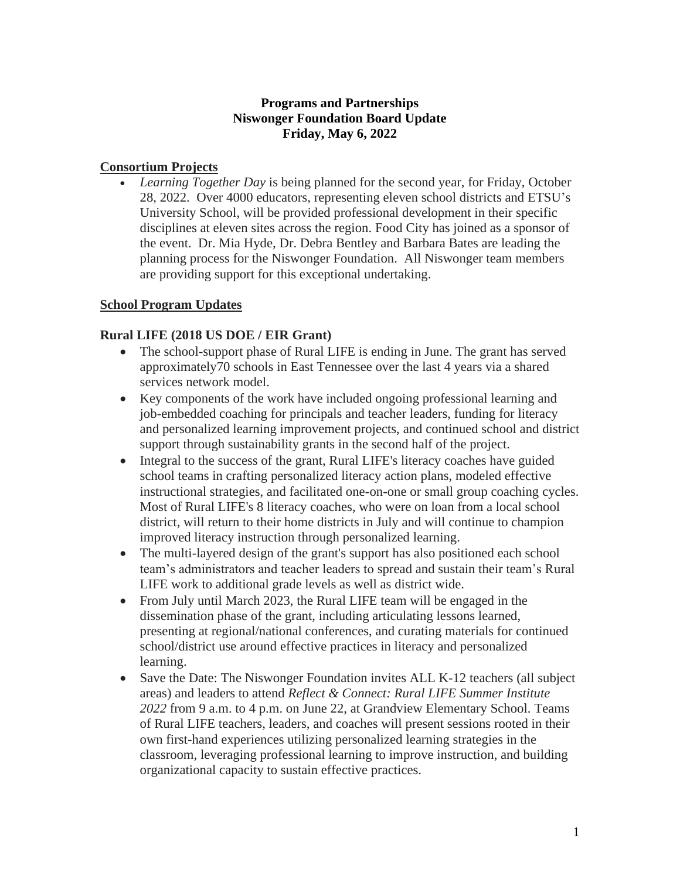### **Programs and Partnerships Niswonger Foundation Board Update Friday, May 6, 2022**

### **Consortium Projects**

• *Learning Together Day* is being planned for the second year, for Friday, October 28, 2022. Over 4000 educators, representing eleven school districts and ETSU's University School, will be provided professional development in their specific disciplines at eleven sites across the region. Food City has joined as a sponsor of the event. Dr. Mia Hyde, Dr. Debra Bentley and Barbara Bates are leading the planning process for the Niswonger Foundation. All Niswonger team members are providing support for this exceptional undertaking.

### **School Program Updates**

### **Rural LIFE (2018 US DOE / EIR Grant)**

- The school-support phase of Rural LIFE is ending in June. The grant has served approximately70 schools in East Tennessee over the last 4 years via a shared services network model.
- Key components of the work have included ongoing professional learning and job-embedded coaching for principals and teacher leaders, funding for literacy and personalized learning improvement projects, and continued school and district support through sustainability grants in the second half of the project.
- Integral to the success of the grant, Rural LIFE's literacy coaches have guided school teams in crafting personalized literacy action plans, modeled effective instructional strategies, and facilitated one-on-one or small group coaching cycles. Most of Rural LIFE's 8 literacy coaches, who were on loan from a local school district, will return to their home districts in July and will continue to champion improved literacy instruction through personalized learning.
- The multi-layered design of the grant's support has also positioned each school team's administrators and teacher leaders to spread and sustain their team's Rural LIFE work to additional grade levels as well as district wide.
- From July until March 2023, the Rural LIFE team will be engaged in the dissemination phase of the grant, including articulating lessons learned, presenting at regional/national conferences, and curating materials for continued school/district use around effective practices in literacy and personalized learning.
- Save the Date: The Niswonger Foundation invites ALL K-12 teachers (all subject areas) and leaders to attend *Reflect & Connect: Rural LIFE Summer Institute 2022* from 9 a.m. to 4 p.m. on June 22, at Grandview Elementary School. Teams of Rural LIFE teachers, leaders, and coaches will present sessions rooted in their own first-hand experiences utilizing personalized learning strategies in the classroom, leveraging professional learning to improve instruction, and building organizational capacity to sustain effective practices.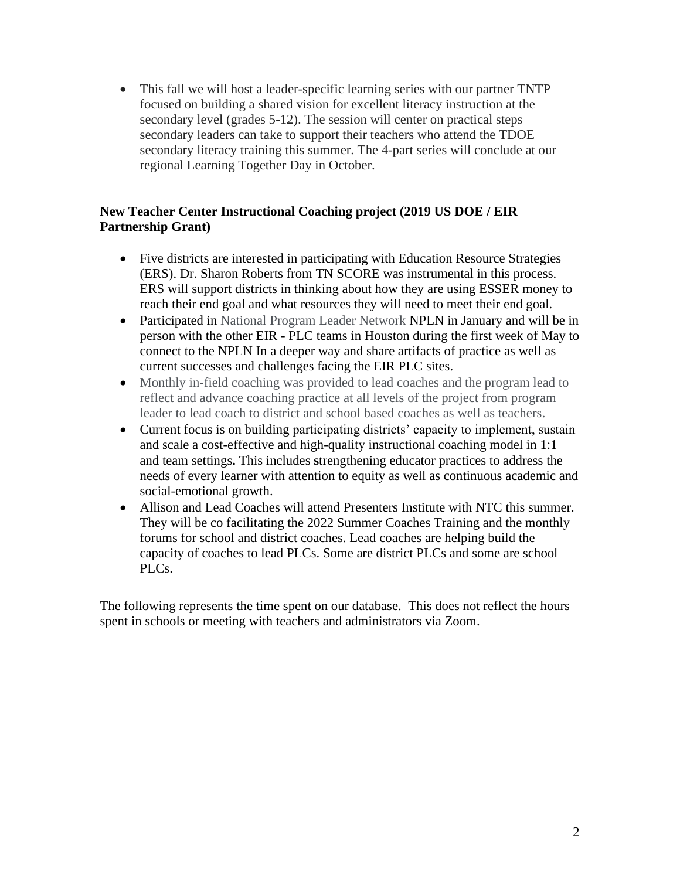• This fall we will host a leader-specific learning series with our partner TNTP focused on building a shared vision for excellent literacy instruction at the secondary level (grades 5-12). The session will center on practical steps secondary leaders can take to support their teachers who attend the TDOE secondary literacy training this summer. The 4-part series will conclude at our regional Learning Together Day in October.

### **New Teacher Center Instructional Coaching project (2019 US DOE / EIR Partnership Grant)**

- Five districts are interested in participating with Education Resource Strategies (ERS). Dr. Sharon Roberts from TN SCORE was instrumental in this process. ERS will support districts in thinking about how they are using ESSER money to reach their end goal and what resources they will need to meet their end goal.
- Participated in National Program Leader Network NPLN in January and will be in person with the other EIR - PLC teams in Houston during the first week of May to connect to the NPLN In a deeper way and share artifacts of practice as well as current successes and challenges facing the EIR PLC sites.
- Monthly in-field coaching was provided to lead coaches and the program lead to reflect and advance coaching practice at all levels of the project from program leader to lead coach to district and school based coaches as well as teachers.
- Current focus is on building participating districts' capacity to implement, sustain and scale a cost-effective and high-quality instructional coaching model in 1:1 and team settings**.** This includes **s**trengthening educator practices to address the needs of every learner with attention to equity as well as continuous academic and social-emotional growth.
- Allison and Lead Coaches will attend Presenters Institute with NTC this summer. They will be co facilitating the 2022 Summer Coaches Training and the monthly forums for school and district coaches. Lead coaches are helping build the capacity of coaches to lead PLCs. Some are district PLCs and some are school PLCs.

The following represents the time spent on our database. This does not reflect the hours spent in schools or meeting with teachers and administrators via Zoom.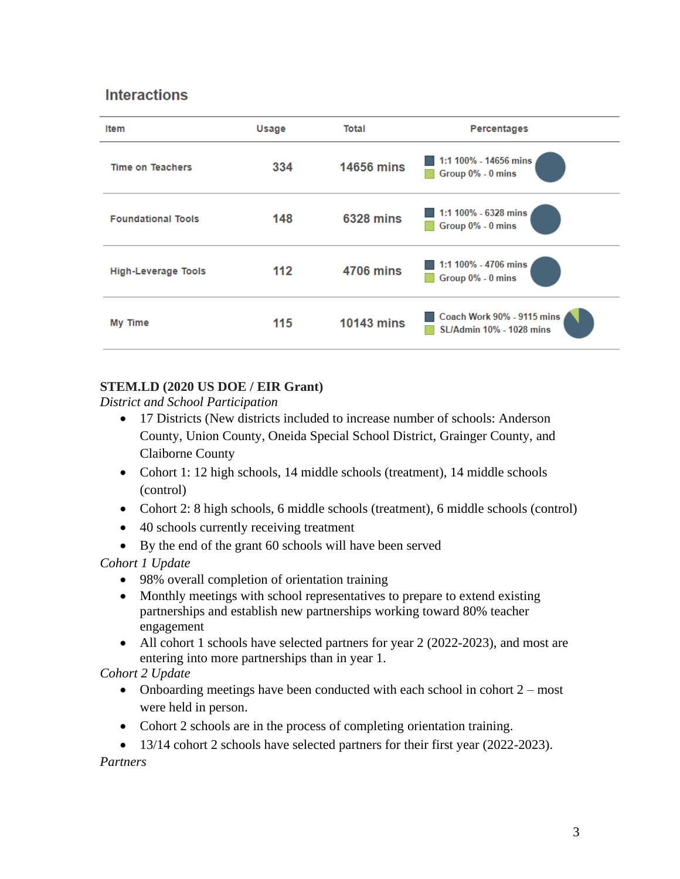# **Interactions**

| Item                       | Usage | Total             | Percentages                                                   |
|----------------------------|-------|-------------------|---------------------------------------------------------------|
| <b>Time on Teachers</b>    | 334   | <b>14656 mins</b> | 1:1 100% - 14656 mins<br>Group 0% - 0 mins                    |
| <b>Foundational Tools</b>  | 148   | <b>6328 mins</b>  | 1:1 100% - 6328 mins<br>Group 0% - 0 mins                     |
| <b>High-Leverage Tools</b> | 112   | <b>4706 mins</b>  | 1:1 100% - 4706 mins<br>Group 0% - 0 mins                     |
| My Time                    | 115   | <b>10143 mins</b> | Coach Work 90% - 9115 mins<br><b>SL/Admin 10% - 1028 mins</b> |

## **STEM.LD (2020 US DOE / EIR Grant)**

*District and School Participation*

- 17 Districts (New districts included to increase number of schools: Anderson County, Union County, Oneida Special School District, Grainger County, and Claiborne County
- Cohort 1: 12 high schools, 14 middle schools (treatment), 14 middle schools (control)
- Cohort 2: 8 high schools, 6 middle schools (treatment), 6 middle schools (control)
- 40 schools currently receiving treatment
- By the end of the grant 60 schools will have been served

*Cohort 1 Update*

- 98% overall completion of orientation training
- Monthly meetings with school representatives to prepare to extend existing partnerships and establish new partnerships working toward 80% teacher engagement
- All cohort 1 schools have selected partners for year 2 (2022-2023), and most are entering into more partnerships than in year 1.

*Cohort 2 Update*

- Onboarding meetings have been conducted with each school in cohort 2 most were held in person.
- Cohort 2 schools are in the process of completing orientation training.
- 13/14 cohort 2 schools have selected partners for their first year (2022-2023).

*Partners*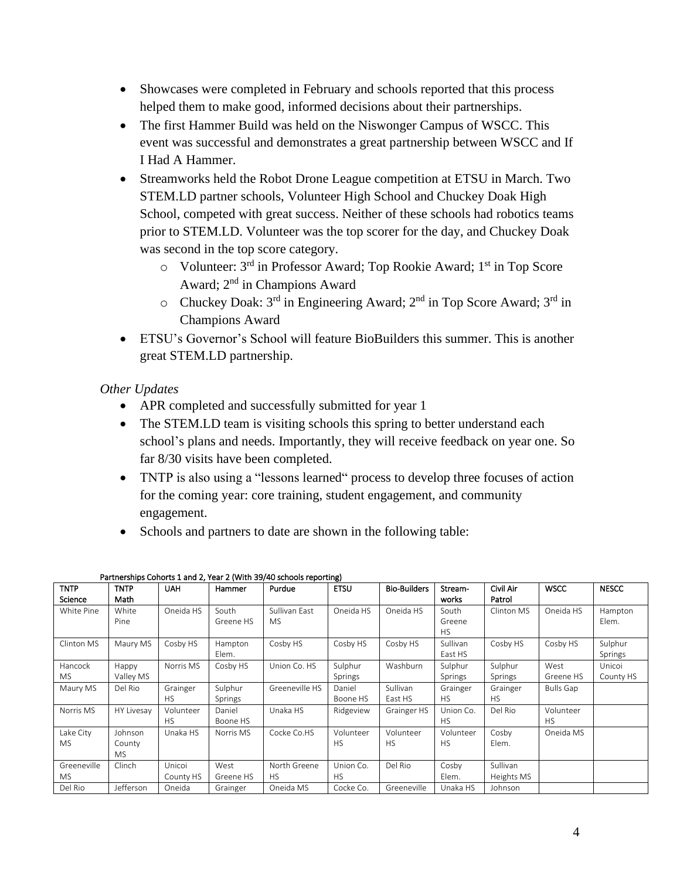- Showcases were completed in February and schools reported that this process helped them to make good, informed decisions about their partnerships.
- The first Hammer Build was held on the Niswonger Campus of WSCC. This event was successful and demonstrates a great partnership between WSCC and If I Had A Hammer.
- Streamworks held the Robot Drone League competition at ETSU in March. Two STEM.LD partner schools, Volunteer High School and Chuckey Doak High School, competed with great success. Neither of these schools had robotics teams prior to STEM.LD. Volunteer was the top scorer for the day, and Chuckey Doak was second in the top score category.
	- o Volunteer: 3rd in Professor Award; Top Rookie Award; 1st in Top Score Award; 2nd in Champions Award
	- $\circ$  Chuckey Doak: 3<sup>rd</sup> in Engineering Award; 2<sup>nd</sup> in Top Score Award; 3<sup>rd</sup> in Champions Award
- ETSU's Governor's School will feature BioBuilders this summer. This is another great STEM.LD partnership.

### *Other Updates*

- APR completed and successfully submitted for year 1
- The STEM.LD team is visiting schools this spring to better understand each school's plans and needs. Importantly, they will receive feedback on year one. So far 8/30 visits have been completed.
- TNTP is also using a "lessons learned" process to develop three focuses of action for the coming year: core training, student engagement, and community engagement.
- Schools and partners to date are shown in the following table:

| TNTP        | <b>TNTP</b> | UAH       | Hammer    | Purdue         | <b>ETSU</b> | <b>Bio-Builders</b> | Stream-   | Civil Air  | WSCC      | <b>NESCC</b> |
|-------------|-------------|-----------|-----------|----------------|-------------|---------------------|-----------|------------|-----------|--------------|
| Science     | Math        |           |           |                |             |                     | works     | Patrol     |           |              |
| White Pine  | White       | Oneida HS | South     | Sullivan East  | Oneida HS   | Oneida HS           | South     | Clinton MS | Oneida HS | Hampton      |
|             | Pine        |           | Greene HS | MS.            |             |                     | Greene    |            |           | Elem.        |
|             |             |           |           |                |             |                     | <b>HS</b> |            |           |              |
| Clinton MS  | Maury MS    | Cosby HS  | Hampton   | Cosby HS       | Cosby HS    | Cosby HS            | Sullivan  | Cosby HS   | Cosby HS  | Sulphur      |
|             |             |           | Elem.     |                |             |                     | East HS   |            |           | Springs      |
| Hancock     | Happy       | Norris MS | Cosby HS  | Union Co. HS   | Sulphur     | Washburn            | Sulphur   | Sulphur    | West      | Unicoi       |
| <b>MS</b>   | Valley MS   |           |           |                | Springs     |                     | Springs   | Springs    | Greene HS | County HS    |
| Maury MS    | Del Rio     | Grainger  | Sulphur   | Greeneville HS | Daniel      | Sullivan            | Grainger  | Grainger   | Bulls Gap |              |
|             |             | <b>HS</b> | Springs   |                | Boone HS    | East HS             | <b>HS</b> | <b>HS</b>  |           |              |
| Norris MS   | HY Livesay  | Volunteer | Daniel    | Unaka HS       | Ridgeview   | Grainger HS         | Union Co. | Del Rio    | Volunteer |              |
|             |             | <b>HS</b> | Boone HS  |                |             |                     | <b>HS</b> |            | <b>HS</b> |              |
| Lake City   | Johnson     | Unaka HS  | Norris MS | Cocke Co.HS    | Volunteer   | Volunteer           | Volunteer | Cosby      | Oneida MS |              |
| MS          | County      |           |           |                | <b>HS</b>   | <b>HS</b>           | <b>HS</b> | Elem.      |           |              |
|             | <b>MS</b>   |           |           |                |             |                     |           |            |           |              |
| Greeneville | Clinch      | Unicoi    | West      | North Greene   | Union Co.   | Del Rio             | Cosby     | Sullivan   |           |              |
| MS.         |             | County HS | Greene HS | <b>HS</b>      | HS.         |                     | Elem.     | Heights MS |           |              |
| Del Rio     | Jefferson   | Oneida    | Grainger  | Oneida MS      | Cocke Co.   | Greeneville         | Unaka HS  | Johnson    |           |              |

#### Partnerships Cohorts 1 and 2, Year 2 (With 39/40 schools reporting)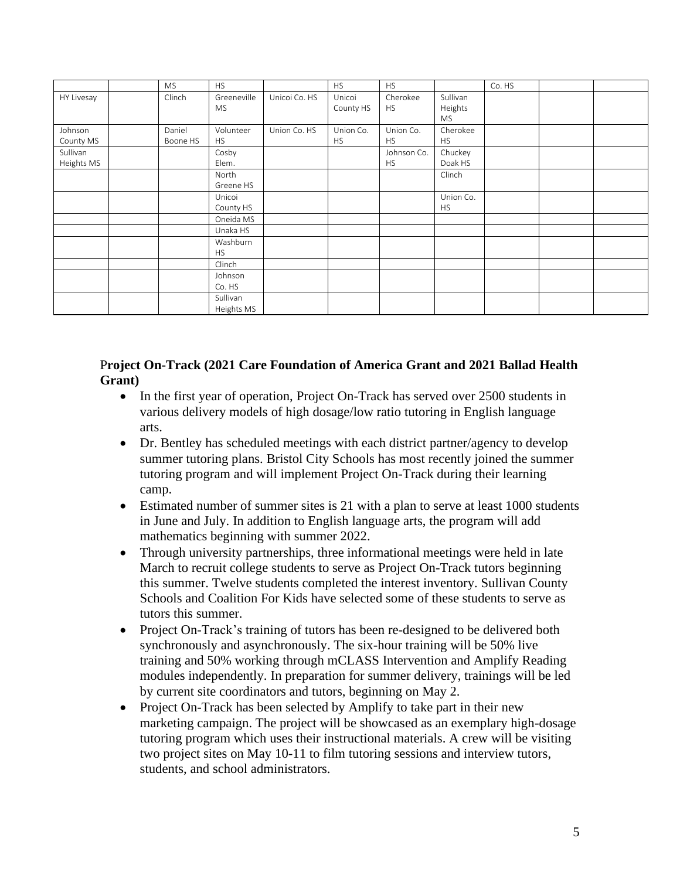|                        | <b>MS</b>          | <b>HS</b>                |               | <b>HS</b>              | <b>HS</b>                |                                  | Co. HS |  |
|------------------------|--------------------|--------------------------|---------------|------------------------|--------------------------|----------------------------------|--------|--|
| HY Livesay             | Clinch             | Greeneville<br><b>MS</b> | Unicoi Co. HS | Unicoi<br>County HS    | Cherokee<br><b>HS</b>    | Sullivan<br>Heights<br><b>MS</b> |        |  |
| Johnson<br>County MS   | Daniel<br>Boone HS | Volunteer<br><b>HS</b>   | Union Co. HS  | Union Co.<br><b>HS</b> | Union Co.<br><b>HS</b>   | Cherokee<br><b>HS</b>            |        |  |
| Sullivan<br>Heights MS |                    | Cosby<br>Elem.           |               |                        | Johnson Co.<br><b>HS</b> | Chuckey<br>Doak HS               |        |  |
|                        |                    | North<br>Greene HS       |               |                        |                          | Clinch                           |        |  |
|                        |                    | Unicoi<br>County HS      |               |                        |                          | Union Co.<br><b>HS</b>           |        |  |
|                        |                    | Oneida MS<br>Unaka HS    |               |                        |                          |                                  |        |  |
|                        |                    | Washburn<br><b>HS</b>    |               |                        |                          |                                  |        |  |
|                        |                    | Clinch                   |               |                        |                          |                                  |        |  |
|                        |                    | Johnson<br>Co. HS        |               |                        |                          |                                  |        |  |
|                        |                    | Sullivan<br>Heights MS   |               |                        |                          |                                  |        |  |

#### P**roject On-Track (2021 Care Foundation of America Grant and 2021 Ballad Health Grant)**

- In the first year of operation, Project On-Track has served over 2500 students in various delivery models of high dosage/low ratio tutoring in English language arts.
- Dr. Bentley has scheduled meetings with each district partner/agency to develop summer tutoring plans. Bristol City Schools has most recently joined the summer tutoring program and will implement Project On-Track during their learning camp.
- Estimated number of summer sites is 21 with a plan to serve at least 1000 students in June and July. In addition to English language arts, the program will add mathematics beginning with summer 2022.
- Through university partnerships, three informational meetings were held in late March to recruit college students to serve as Project On-Track tutors beginning this summer. Twelve students completed the interest inventory. Sullivan County Schools and Coalition For Kids have selected some of these students to serve as tutors this summer.
- Project On-Track's training of tutors has been re-designed to be delivered both synchronously and asynchronously. The six-hour training will be 50% live training and 50% working through mCLASS Intervention and Amplify Reading modules independently. In preparation for summer delivery, trainings will be led by current site coordinators and tutors, beginning on May 2.
- Project On-Track has been selected by Amplify to take part in their new marketing campaign. The project will be showcased as an exemplary high-dosage tutoring program which uses their instructional materials. A crew will be visiting two project sites on May 10-11 to film tutoring sessions and interview tutors, students, and school administrators.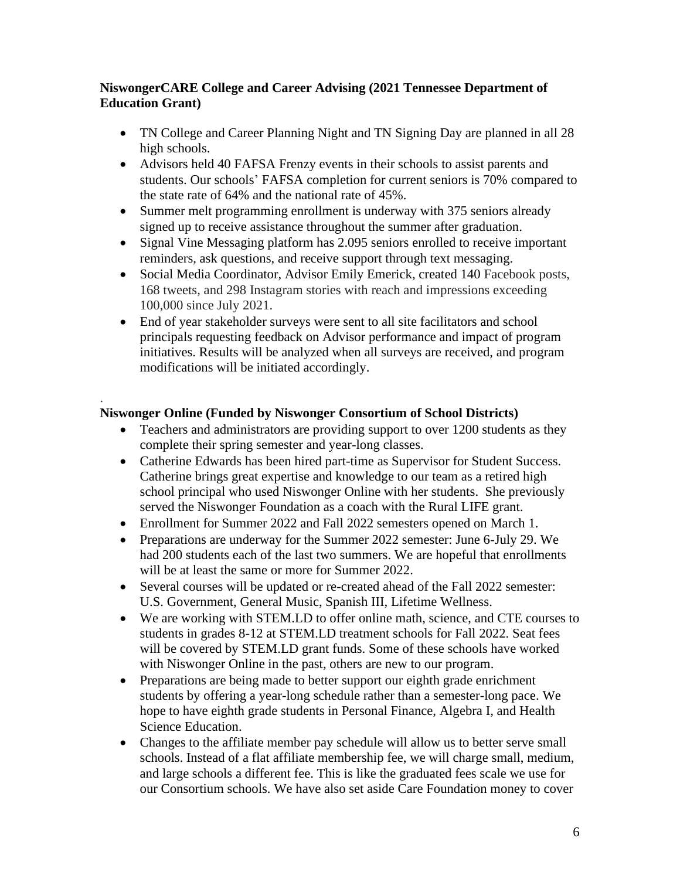### **NiswongerCARE College and Career Advising (2021 Tennessee Department of Education Grant)**

- TN College and Career Planning Night and TN Signing Day are planned in all 28 high schools.
- Advisors held 40 FAFSA Frenzy events in their schools to assist parents and students. Our schools' FAFSA completion for current seniors is 70% compared to the state rate of 64% and the national rate of 45%.
- Summer melt programming enrollment is underway with 375 seniors already signed up to receive assistance throughout the summer after graduation.
- Signal Vine Messaging platform has 2.095 seniors enrolled to receive important reminders, ask questions, and receive support through text messaging.
- Social Media Coordinator, Advisor Emily Emerick, created 140 Facebook posts, 168 tweets, and 298 Instagram stories with reach and impressions exceeding 100,000 since July 2021.
- End of year stakeholder surveys were sent to all site facilitators and school principals requesting feedback on Advisor performance and impact of program initiatives. Results will be analyzed when all surveys are received, and program modifications will be initiated accordingly.

#### . **Niswonger Online (Funded by Niswonger Consortium of School Districts)**

- Teachers and administrators are providing support to over 1200 students as they complete their spring semester and year-long classes.
- Catherine Edwards has been hired part-time as Supervisor for Student Success. Catherine brings great expertise and knowledge to our team as a retired high school principal who used Niswonger Online with her students. She previously served the Niswonger Foundation as a coach with the Rural LIFE grant.
- Enrollment for Summer 2022 and Fall 2022 semesters opened on March 1.
- Preparations are underway for the Summer 2022 semester: June 6-July 29. We had 200 students each of the last two summers. We are hopeful that enrollments will be at least the same or more for Summer 2022.
- Several courses will be updated or re-created ahead of the Fall 2022 semester: U.S. Government, General Music, Spanish III, Lifetime Wellness.
- We are working with STEM.LD to offer online math, science, and CTE courses to students in grades 8-12 at STEM.LD treatment schools for Fall 2022. Seat fees will be covered by STEM.LD grant funds. Some of these schools have worked with Niswonger Online in the past, others are new to our program.
- Preparations are being made to better support our eighth grade enrichment students by offering a year-long schedule rather than a semester-long pace. We hope to have eighth grade students in Personal Finance, Algebra I, and Health Science Education.
- Changes to the affiliate member pay schedule will allow us to better serve small schools. Instead of a flat affiliate membership fee, we will charge small, medium, and large schools a different fee. This is like the graduated fees scale we use for our Consortium schools. We have also set aside Care Foundation money to cover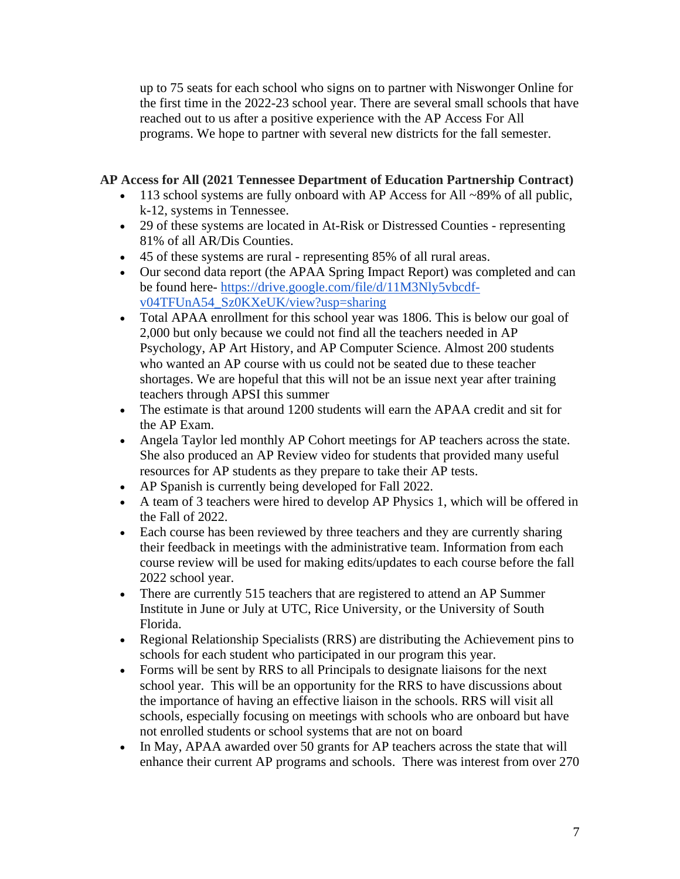up to 75 seats for each school who signs on to partner with Niswonger Online for the first time in the 2022-23 school year. There are several small schools that have reached out to us after a positive experience with the AP Access For All programs. We hope to partner with several new districts for the fall semester.

#### **AP Access for All (2021 Tennessee Department of Education Partnership Contract)**

- 113 school systems are fully onboard with AP Access for All ~89% of all public, k-12, systems in Tennessee.
- 29 of these systems are located in At-Risk or Distressed Counties representing 81% of all AR/Dis Counties.
- 45 of these systems are rural representing 85% of all rural areas.
- Our second data report (the APAA Spring Impact Report) was completed and can be found here- [https://drive.google.com/file/d/11M3Nly5vbcdf](https://drive.google.com/file/d/11M3Nly5vbcdf-v04TFUnA54_Sz0KXeUK/view?usp=sharing)[v04TFUnA54\\_Sz0KXeUK/view?usp=sharing](https://drive.google.com/file/d/11M3Nly5vbcdf-v04TFUnA54_Sz0KXeUK/view?usp=sharing)
- Total APAA enrollment for this school year was 1806. This is below our goal of 2,000 but only because we could not find all the teachers needed in AP Psychology, AP Art History, and AP Computer Science. Almost 200 students who wanted an AP course with us could not be seated due to these teacher shortages. We are hopeful that this will not be an issue next year after training teachers through APSI this summer
- The estimate is that around 1200 students will earn the APAA credit and sit for the AP Exam.
- Angela Taylor led monthly AP Cohort meetings for AP teachers across the state. She also produced an AP Review video for students that provided many useful resources for AP students as they prepare to take their AP tests.
- AP Spanish is currently being developed for Fall 2022.
- A team of 3 teachers were hired to develop AP Physics 1, which will be offered in the Fall of 2022.
- Each course has been reviewed by three teachers and they are currently sharing their feedback in meetings with the administrative team. Information from each course review will be used for making edits/updates to each course before the fall 2022 school year.
- There are currently 515 teachers that are registered to attend an AP Summer Institute in June or July at UTC, Rice University, or the University of South Florida.
- Regional Relationship Specialists (RRS) are distributing the Achievement pins to schools for each student who participated in our program this year.
- Forms will be sent by RRS to all Principals to designate liaisons for the next school year. This will be an opportunity for the RRS to have discussions about the importance of having an effective liaison in the schools. RRS will visit all schools, especially focusing on meetings with schools who are onboard but have not enrolled students or school systems that are not on board
- In May, APAA awarded over 50 grants for AP teachers across the state that will enhance their current AP programs and schools. There was interest from over 270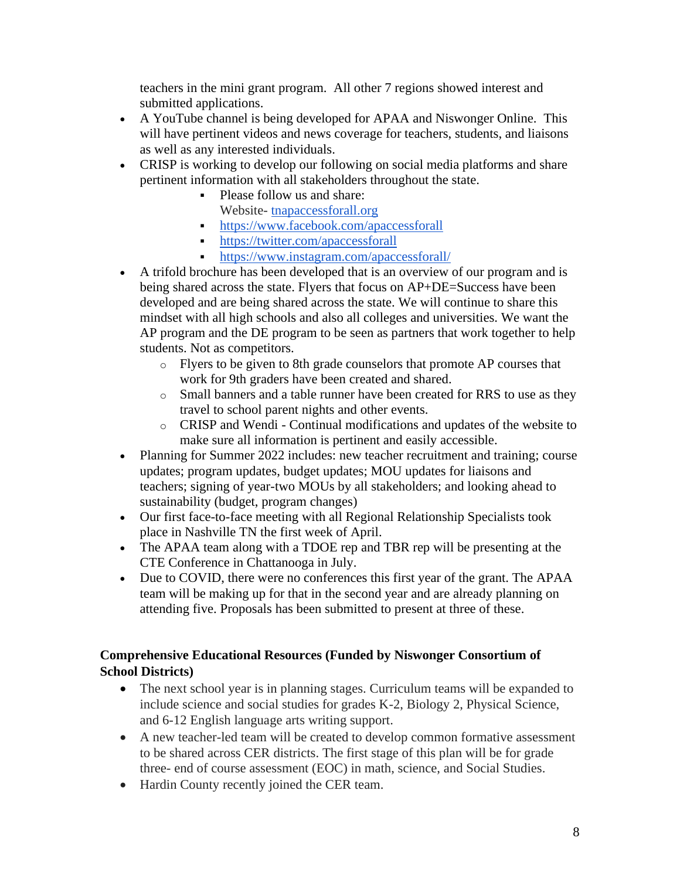teachers in the mini grant program. All other 7 regions showed interest and submitted applications.

- A YouTube channel is being developed for APAA and Niswonger Online. This will have pertinent videos and news coverage for teachers, students, and liaisons as well as any interested individuals.
- CRISP is working to develop our following on social media platforms and share pertinent information with all stakeholders throughout the state.
	- Please follow us and share:
		- Website- [tnapaccessforall.org](http://tnapaccessforall.org/)
	- <https://www.facebook.com/apaccessforall>
	- <https://twitter.com/apaccessforall>
	- <https://www.instagram.com/apaccessforall/>
- A trifold brochure has been developed that is an overview of our program and is being shared across the state. Flyers that focus on AP+DE=Success have been developed and are being shared across the state. We will continue to share this mindset with all high schools and also all colleges and universities. We want the AP program and the DE program to be seen as partners that work together to help students. Not as competitors.
	- o Flyers to be given to 8th grade counselors that promote AP courses that work for 9th graders have been created and shared.
	- o Small banners and a table runner have been created for RRS to use as they travel to school parent nights and other events.
	- o CRISP and Wendi Continual modifications and updates of the website to make sure all information is pertinent and easily accessible.
- Planning for Summer 2022 includes: new teacher recruitment and training; course updates; program updates, budget updates; MOU updates for liaisons and teachers; signing of year-two MOUs by all stakeholders; and looking ahead to sustainability (budget, program changes)
- Our first face-to-face meeting with all Regional Relationship Specialists took place in Nashville TN the first week of April.
- The APAA team along with a TDOE rep and TBR rep will be presenting at the CTE Conference in Chattanooga in July.
- Due to COVID, there were no conferences this first year of the grant. The APAA team will be making up for that in the second year and are already planning on attending five. Proposals has been submitted to present at three of these.

### **Comprehensive Educational Resources (Funded by Niswonger Consortium of School Districts)**

- The next school year is in planning stages. Curriculum teams will be expanded to include science and social studies for grades K-2, Biology 2, Physical Science, and 6-12 English language arts writing support.
- A new teacher-led team will be created to develop common formative assessment to be shared across CER districts. The first stage of this plan will be for grade three- end of course assessment (EOC) in math, science, and Social Studies.
- Hardin County recently joined the CER team.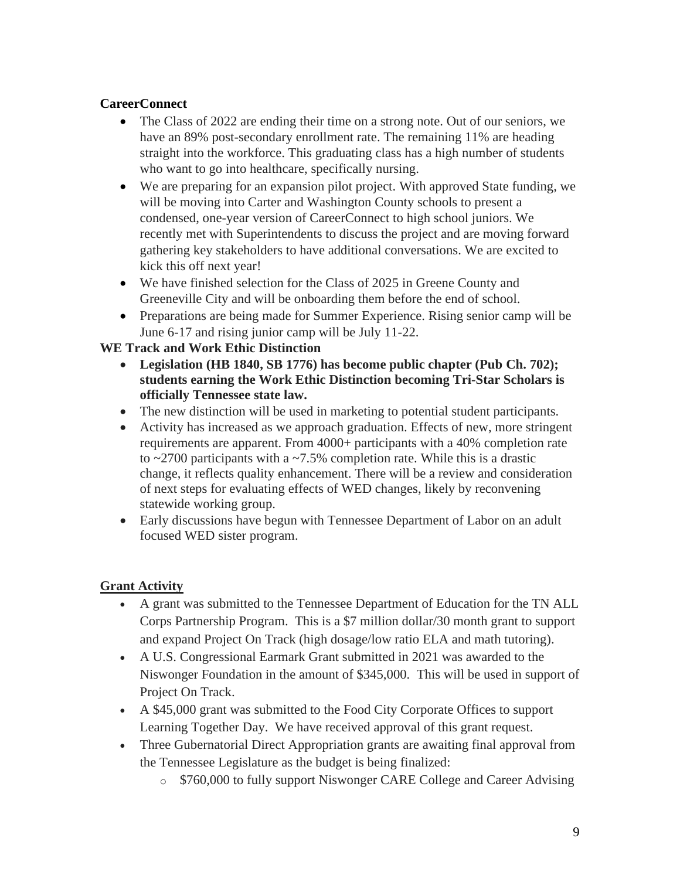### **CareerConnect**

- The Class of 2022 are ending their time on a strong note. Out of our seniors, we have an 89% post-secondary enrollment rate. The remaining 11% are heading straight into the workforce. This graduating class has a high number of students who want to go into healthcare, specifically nursing.
- We are preparing for an expansion pilot project. With approved State funding, we will be moving into Carter and Washington County schools to present a condensed, one-year version of CareerConnect to high school juniors. We recently met with Superintendents to discuss the project and are moving forward gathering key stakeholders to have additional conversations. We are excited to kick this off next year!
- We have finished selection for the Class of 2025 in Greene County and Greeneville City and will be onboarding them before the end of school.
- Preparations are being made for Summer Experience. Rising senior camp will be June 6-17 and rising junior camp will be July 11-22.

### **WE Track and Work Ethic Distinction**

- **Legislation (HB 1840, SB 1776) has become public chapter (Pub Ch. 702); students earning the Work Ethic Distinction becoming Tri-Star Scholars is officially Tennessee state law.**
- The new distinction will be used in marketing to potential student participants.
- Activity has increased as we approach graduation. Effects of new, more stringent requirements are apparent. From 4000+ participants with a 40% completion rate to  $\approx$  2700 participants with a  $\approx$  7.5% completion rate. While this is a drastic change, it reflects quality enhancement. There will be a review and consideration of next steps for evaluating effects of WED changes, likely by reconvening statewide working group.
- Early discussions have begun with Tennessee Department of Labor on an adult focused WED sister program.

## **Grant Activity**

- A grant was submitted to the Tennessee Department of Education for the TN ALL Corps Partnership Program. This is a \$7 million dollar/30 month grant to support and expand Project On Track (high dosage/low ratio ELA and math tutoring).
- A U.S. Congressional Earmark Grant submitted in 2021 was awarded to the Niswonger Foundation in the amount of \$345,000. This will be used in support of Project On Track.
- A \$45,000 grant was submitted to the Food City Corporate Offices to support Learning Together Day. We have received approval of this grant request.
- Three Gubernatorial Direct Appropriation grants are awaiting final approval from the Tennessee Legislature as the budget is being finalized:
	- o \$760,000 to fully support Niswonger CARE College and Career Advising